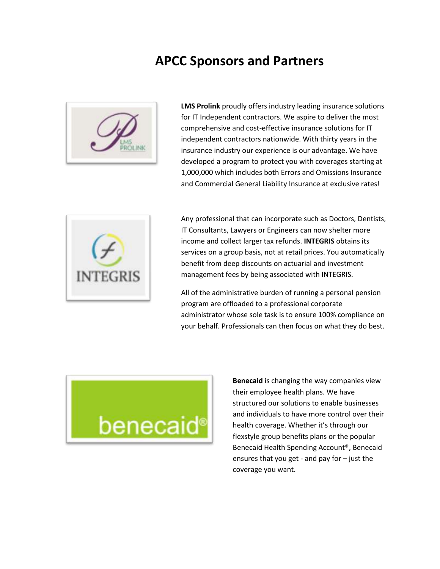## **APCC Sponsors and Partners**



**LMS Prolink** proudly offers industry leading insurance solutions for IT Independent contractors. We aspire to deliver the most comprehensive and cost-effective insurance solutions for IT independent contractors nationwide. With thirty years in the insurance industry our experience is our advantage. We have developed a program to protect you with coverages starting at 1,000,000 which includes both Errors and Omissions Insurance and Commercial General Liability Insurance at exclusive rates!



Any professional that can incorporate such as Doctors, Dentists, IT Consultants, Lawyers or Engineers can now shelter more income and collect larger tax refunds. **INTEGRIS** obtains its services on a group basis, not at retail prices. You automatically benefit from deep discounts on actuarial and investment management fees by being associated with INTEGRIS.

All of the administrative burden of running a personal pension program are offloaded to a professional corporate administrator whose sole task is to ensure 100% compliance on your behalf. Professionals can then focus on what they do best.



**Benecaid** is changing the way companies view their employee health plans. We have structured our solutions to enable businesses and individuals to have more control over their health coverage. Whether it's through our flexstyle group benefits plans or the popular Benecaid Health Spending Account®, Benecaid ensures that you get - and pay for – just the coverage you want.